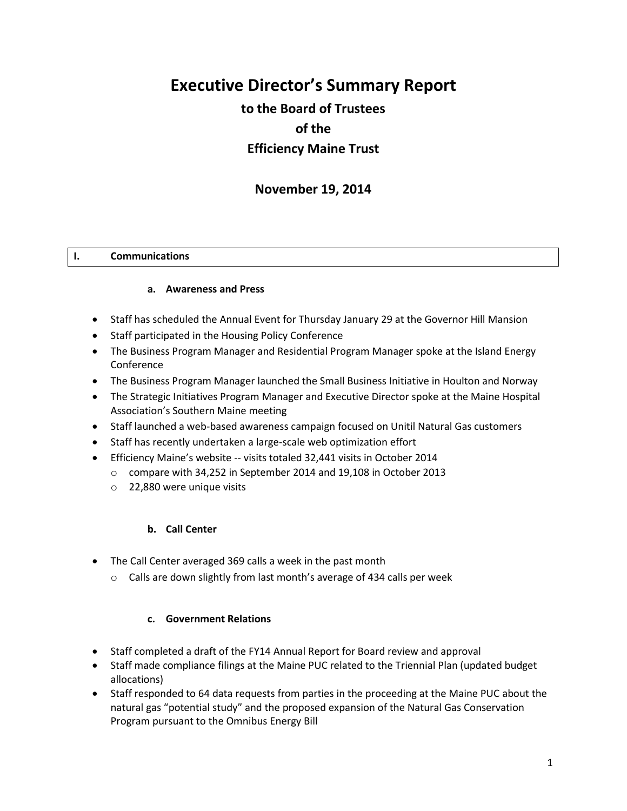# **Executive Director's Summary Report**

# **to the Board of Trustees of the Efficiency Maine Trust**

# **November 19, 2014**

#### **I. Communications**

#### **a. Awareness and Press**

- Staff has scheduled the Annual Event for Thursday January 29 at the Governor Hill Mansion
- Staff participated in the Housing Policy Conference
- The Business Program Manager and Residential Program Manager spoke at the Island Energy Conference
- The Business Program Manager launched the Small Business Initiative in Houlton and Norway
- The Strategic Initiatives Program Manager and Executive Director spoke at the Maine Hospital Association's Southern Maine meeting
- Staff launched a web-based awareness campaign focused on Unitil Natural Gas customers
- Staff has recently undertaken a large-scale web optimization effort
- Efficiency Maine's website -- visits totaled 32,441 visits in October 2014
	- o compare with 34,252 in September 2014 and 19,108 in October 2013
	- o 22,880 were unique visits

#### **b. Call Center**

- The Call Center averaged 369 calls a week in the past month
	- o Calls are down slightly from last month's average of 434 calls per week

#### **c. Government Relations**

- Staff completed a draft of the FY14 Annual Report for Board review and approval
- Staff made compliance filings at the Maine PUC related to the Triennial Plan (updated budget allocations)
- Staff responded to 64 data requests from parties in the proceeding at the Maine PUC about the natural gas "potential study" and the proposed expansion of the Natural Gas Conservation Program pursuant to the Omnibus Energy Bill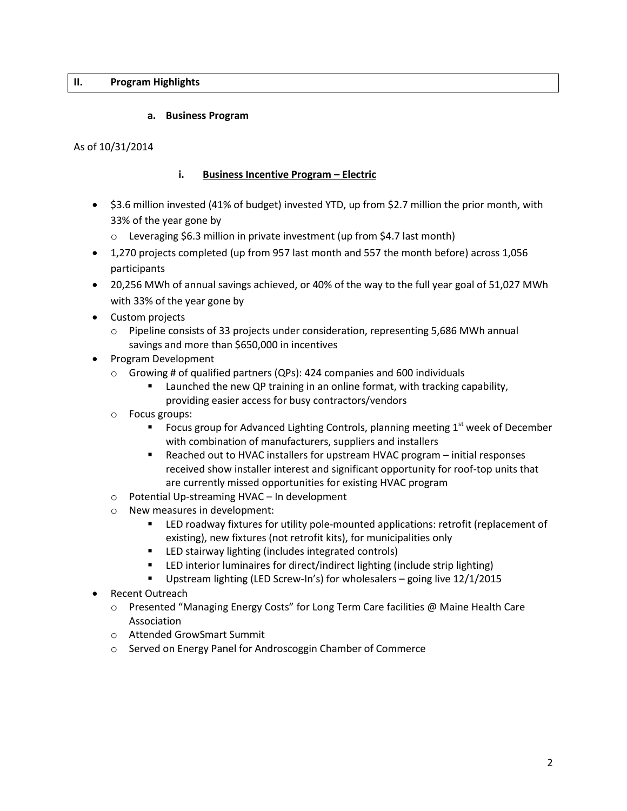#### **II. Program Highlights**

#### **a. Business Program**

#### As of 10/31/2014

# **i. Business Incentive Program – Electric**

- \$3.6 million invested (41% of budget) invested YTD, up from \$2.7 million the prior month, with 33% of the year gone by
	- o Leveraging \$6.3 million in private investment (up from \$4.7 last month)
- 1,270 projects completed (up from 957 last month and 557 the month before) across 1,056 participants
- 20,256 MWh of annual savings achieved, or 40% of the way to the full year goal of 51,027 MWh with 33% of the year gone by
- Custom projects
	- o Pipeline consists of 33 projects under consideration, representing 5,686 MWh annual savings and more than \$650,000 in incentives
- Program Development
	- $\circ$  Growing # of qualified partners (QPs): 424 companies and 600 individuals
		- **EXED** Launched the new QP training in an online format, with tracking capability, providing easier access for busy contractors/vendors
	- o Focus groups:
		- Focus group for Advanced Lighting Controls, planning meeting  $1<sup>st</sup>$  week of December with combination of manufacturers, suppliers and installers
		- Reached out to HVAC installers for upstream HVAC program initial responses received show installer interest and significant opportunity for roof-top units that are currently missed opportunities for existing HVAC program
	- o Potential Up-streaming HVAC In development
	- o New measures in development:
		- LED roadway fixtures for utility pole-mounted applications: retrofit (replacement of existing), new fixtures (not retrofit kits), for municipalities only
		- **EXELGED** stairway lighting (includes integrated controls)
		- LED interior luminaires for direct/indirect lighting (include strip lighting)
		- Upstream lighting (LED Screw-In's) for wholesalers going live 12/1/2015
- Recent Outreach
	- o Presented "Managing Energy Costs" for Long Term Care facilities @ Maine Health Care Association
	- o Attended GrowSmart Summit
	- o Served on Energy Panel for Androscoggin Chamber of Commerce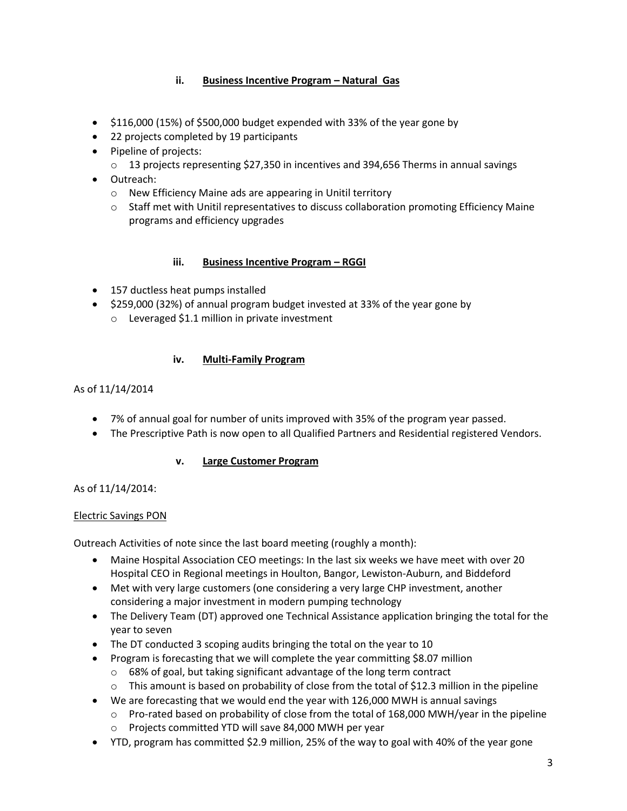# **ii. Business Incentive Program – Natural Gas**

- $\bullet$  \$116,000 (15%) of \$500,000 budget expended with 33% of the year gone by
- 22 projects completed by 19 participants
- Pipeline of projects:
	- $\circ$  13 projects representing \$27,350 in incentives and 394,656 Therms in annual savings
- Outreach:
	- o New Efficiency Maine ads are appearing in Unitil territory
	- o Staff met with Unitil representatives to discuss collaboration promoting Efficiency Maine programs and efficiency upgrades

#### **iii.** Business Incentive Program – RGGI

- 157 ductless heat pumps installed
- \$259,000 (32%) of annual program budget invested at 33% of the year gone by
	- o Leveraged \$1.1 million in private investment

#### **iv. Multi-Family Program**

#### As of 11/14/2014

- 7% of annual goal for number of units improved with 35% of the program year passed.
- The Prescriptive Path is now open to all Qualified Partners and Residential registered Vendors.

# **v. Large Customer Program**

#### As of 11/14/2014:

#### Electric Savings PON

Outreach Activities of note since the last board meeting (roughly a month):

- Maine Hospital Association CEO meetings: In the last six weeks we have meet with over 20 Hospital CEO in Regional meetings in Houlton, Bangor, Lewiston-Auburn, and Biddeford
- Met with very large customers (one considering a very large CHP investment, another considering a major investment in modern pumping technology
- The Delivery Team (DT) approved one Technical Assistance application bringing the total for the year to seven
- The DT conducted 3 scoping audits bringing the total on the year to 10
- Program is forecasting that we will complete the year committing \$8.07 million
	- o 68% of goal, but taking significant advantage of the long term contract
	- o This amount is based on probability of close from the total of \$12.3 million in the pipeline
- We are forecasting that we would end the year with 126,000 MWH is annual savings
	- o Pro-rated based on probability of close from the total of 168,000 MWH/year in the pipeline
	- o Projects committed YTD will save 84,000 MWH per year
- YTD, program has committed \$2.9 million, 25% of the way to goal with 40% of the year gone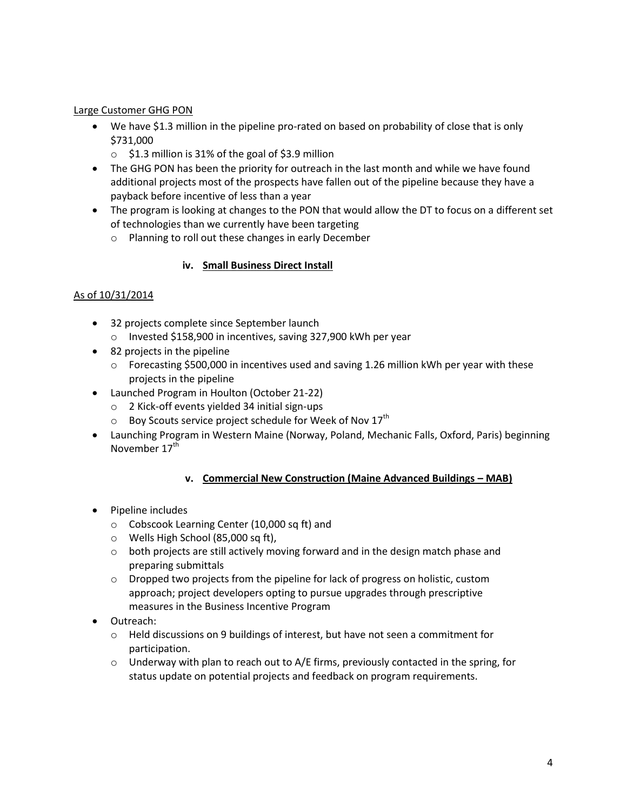# Large Customer GHG PON

- We have \$1.3 million in the pipeline pro-rated on based on probability of close that is only \$731,000
	- $\circ$  \$1.3 million is 31% of the goal of \$3.9 million
- The GHG PON has been the priority for outreach in the last month and while we have found additional projects most of the prospects have fallen out of the pipeline because they have a payback before incentive of less than a year
- The program is looking at changes to the PON that would allow the DT to focus on a different set of technologies than we currently have been targeting
	- o Planning to roll out these changes in early December

# **iv. Small Business Direct Install**

# As of 10/31/2014

- 32 projects complete since September launch o Invested \$158,900 in incentives, saving 327,900 kWh per year
- 82 projects in the pipeline
	- o Forecasting \$500,000 in incentives used and saving 1.26 million kWh per year with these projects in the pipeline
- Launched Program in Houlton (October 21-22)
	- o 2 Kick-off events yielded 34 initial sign-ups
	- $\circ$  Boy Scouts service project schedule for Week of Nov 17<sup>th</sup>
- Launching Program in Western Maine (Norway, Poland, Mechanic Falls, Oxford, Paris) beginning November 17<sup>th</sup>

#### **v. Commercial New Construction (Maine Advanced Buildings – MAB)**

- Pipeline includes
	- o Cobscook Learning Center (10,000 sq ft) and
	- o Wells High School (85,000 sq ft),
	- $\circ$  both projects are still actively moving forward and in the design match phase and preparing submittals
	- o Dropped two projects from the pipeline for lack of progress on holistic, custom approach; project developers opting to pursue upgrades through prescriptive measures in the Business Incentive Program
- Outreach:
	- $\circ$  Held discussions on 9 buildings of interest, but have not seen a commitment for participation.
	- $\circ$  Underway with plan to reach out to A/E firms, previously contacted in the spring, for status update on potential projects and feedback on program requirements.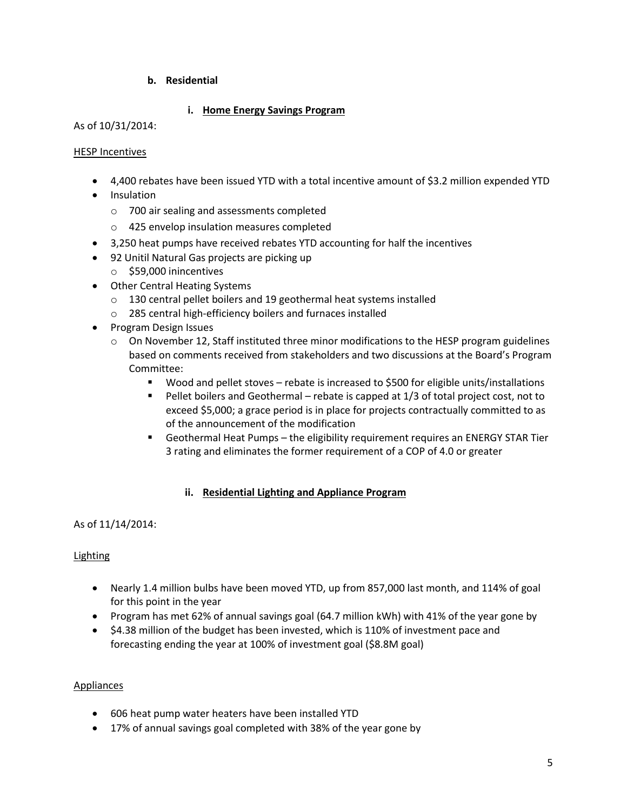# **b. Residential**

# **i. Home Energy Savings Program**

#### As of 10/31/2014:

#### HESP Incentives

- 4,400 rebates have been issued YTD with a total incentive amount of \$3.2 million expended YTD
- Insulation
	- o 700 air sealing and assessments completed
	- o 425 envelop insulation measures completed
- 3,250 heat pumps have received rebates YTD accounting for half the incentives
- 92 Unitil Natural Gas projects are picking up
	- o \$59,000 inincentives
- Other Central Heating Systems
	- o 130 central pellet boilers and 19 geothermal heat systems installed
	- o 285 central high-efficiency boilers and furnaces installed
- Program Design Issues
	- $\circ$  On November 12, Staff instituted three minor modifications to the HESP program guidelines based on comments received from stakeholders and two discussions at the Board's Program Committee:
		- Wood and pellet stoves rebate is increased to \$500 for eligible units/installations
		- Pellet boilers and Geothermal rebate is capped at 1/3 of total project cost, not to exceed \$5,000; a grace period is in place for projects contractually committed to as of the announcement of the modification
		- Geothermal Heat Pumps the eligibility requirement requires an ENERGY STAR Tier 3 rating and eliminates the former requirement of a COP of 4.0 or greater

#### **ii. Residential Lighting and Appliance Program**

# As of 11/14/2014:

# Lighting

- Nearly 1.4 million bulbs have been moved YTD, up from 857,000 last month, and 114% of goal for this point in the year
- Program has met 62% of annual savings goal (64.7 million kWh) with 41% of the year gone by
- \$4.38 million of the budget has been invested, which is 110% of investment pace and forecasting ending the year at 100% of investment goal (\$8.8M goal)

#### Appliances

- 606 heat pump water heaters have been installed YTD
- 17% of annual savings goal completed with 38% of the year gone by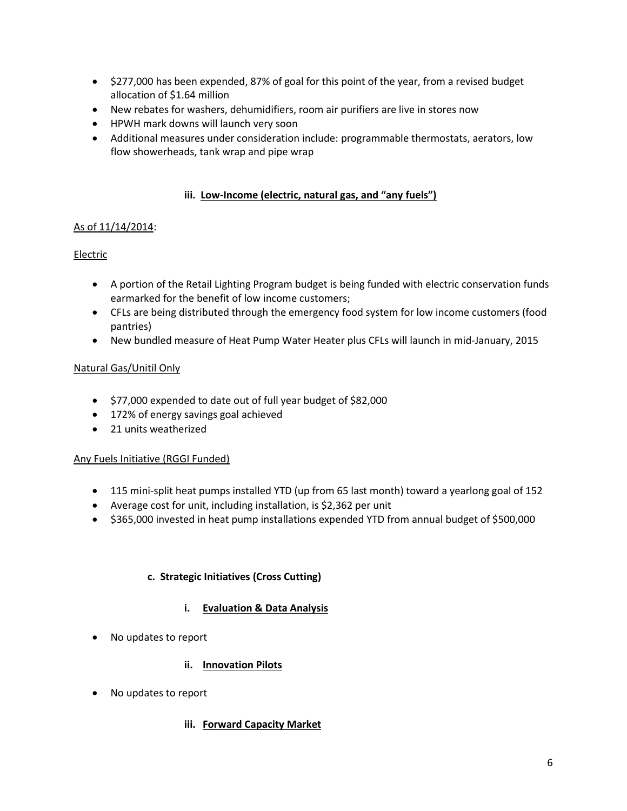- \$277,000 has been expended, 87% of goal for this point of the year, from a revised budget allocation of \$1.64 million
- New rebates for washers, dehumidifiers, room air purifiers are live in stores now
- HPWH mark downs will launch very soon
- Additional measures under consideration include: programmable thermostats, aerators, low flow showerheads, tank wrap and pipe wrap

# **iii. Low-Income (electric, natural gas, and "any fuels")**

# As of 11/14/2014:

# Electric

- A portion of the Retail Lighting Program budget is being funded with electric conservation funds earmarked for the benefit of low income customers;
- CFLs are being distributed through the emergency food system for low income customers (food pantries)
- New bundled measure of Heat Pump Water Heater plus CFLs will launch in mid-January, 2015

#### Natural Gas/Unitil Only

- $\bullet$  \$77,000 expended to date out of full year budget of \$82,000
- 172% of energy savings goal achieved
- 21 units weatherized

#### Any Fuels Initiative (RGGI Funded)

- 115 mini-split heat pumps installed YTD (up from 65 last month) toward a yearlong goal of 152
- Average cost for unit, including installation, is \$2,362 per unit
- \$365,000 invested in heat pump installations expended YTD from annual budget of \$500,000

# **c. Strategic Initiatives (Cross Cutting)**

# **i. Evaluation & Data Analysis**

• No updates to report

# **ii. Innovation Pilots**

No updates to report

# **iii. Forward Capacity Market**